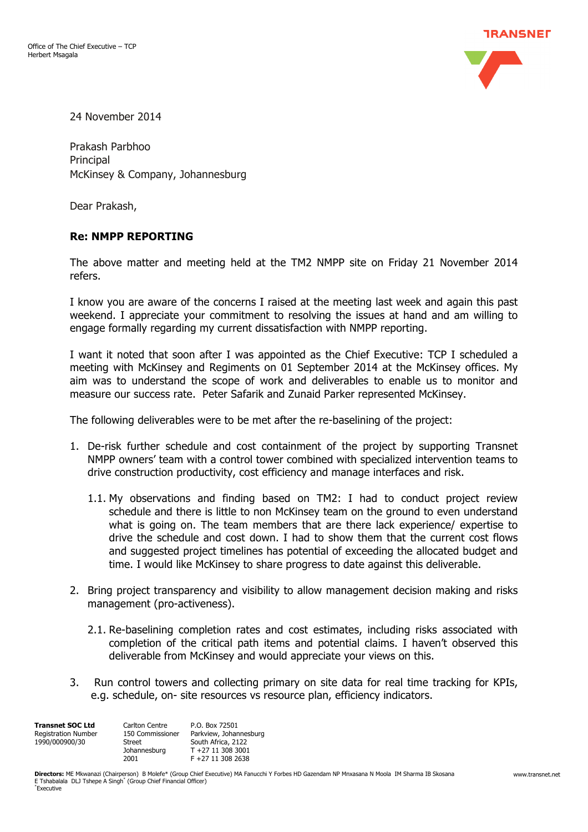

24 November 2014

Prakash Parbhoo Principal McKinsey & Company, Johannesburg

Dear Prakash,

## **Re: NMPP REPORTING**

The above matter and meeting held at the TM2 NMPP site on Friday 21 November 2014 refers.

I know you are aware of the concerns I raised at the meeting last week and again this past weekend. I appreciate your commitment to resolving the issues at hand and am willing to engage formally regarding my current dissatisfaction with NMPP reporting.

I want it noted that soon after I was appointed as the Chief Executive: TCP I scheduled a meeting with McKinsey and Regiments on 01 September 2014 at the McKinsey offices. My aim was to understand the scope of work and deliverables to enable us to monitor and measure our success rate. Peter Safarik and Zunaid Parker represented McKinsey.

The following deliverables were to be met after the re-baselining of the project:

- 1. De-risk further schedule and cost containment of the project by supporting Transnet NMPP owners' team with a control tower combined with specialized intervention teams to drive construction productivity, cost efficiency and manage interfaces and risk.
	- 1.1. My observations and finding based on TM2: I had to conduct project review schedule and there is little to non McKinsey team on the ground to even understand what is going on. The team members that are there lack experience/ expertise to drive the schedule and cost down. I had to show them that the current cost flows and suggested project timelines has potential of exceeding the allocated budget and time. I would like McKinsey to share progress to date against this deliverable.
- 2. Bring project transparency and visibility to allow management decision making and risks management (pro-activeness).
	- 2.1. Re-baselining completion rates and cost estimates, including risks associated with completion of the critical path items and potential claims. I haven't observed this deliverable from McKinsey and would appreciate your views on this.
- 3. Run control towers and collecting primary on site data for real time tracking for KPIs, e.g. schedule, on- site resources vs resource plan, efficiency indicators.

| Transnet SOC Ltd           | Carlton Centre   | P.O. Box 72501         |
|----------------------------|------------------|------------------------|
| <b>Registration Number</b> | 150 Commissioner | Parkview, Johannesburg |
| 1990/000900/30             | Street           | South Africa, 2122     |
|                            | Johannesburg     | T +27 11 308 3001      |
|                            | 2001             | F +27 11 308 2638      |
|                            |                  |                        |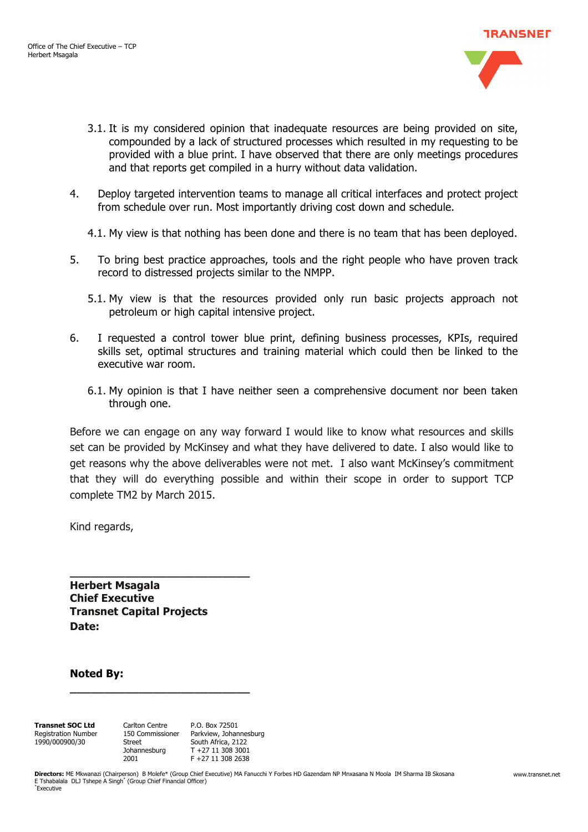

- 3.1. It is my considered opinion that inadequate resources are being provided on site, compounded by a lack of structured processes which resulted in my requesting to be provided with a blue print. I have observed that there are only meetings procedures and that reports get compiled in a hurry without data validation.
- 4. Deploy targeted intervention teams to manage all critical interfaces and protect project from schedule over run. Most importantly driving cost down and schedule.
	- 4.1. My view is that nothing has been done and there is no team that has been deployed.
- 5. To bring best practice approaches, tools and the right people who have proven track record to distressed projects similar to the NMPP.
	- 5.1. My view is that the resources provided only run basic projects approach not petroleum or high capital intensive project.
- 6. I requested a control tower blue print, defining business processes, KPIs, required skills set, optimal structures and training material which could then be linked to the executive war room.
	- 6.1. My opinion is that I have neither seen a comprehensive document nor been taken through one.

Before we can engage on any way forward I would like to know what resources and skills set can be provided by McKinsey and what they have delivered to date. I also would like to get reasons why the above deliverables were not met. I also want McKinsey's commitment that they will do everything possible and within their scope in order to support TCP complete TM2 by March 2015.

Kind regards,

**Herbert Msagala Chief Executive Transnet Capital Projects Date:** 

**\_\_\_\_\_\_\_\_\_\_\_\_\_\_\_\_\_\_\_\_\_\_\_\_\_\_**

**Noted By:**

**Transnet SOC Ltd** Registration Number 1990/000900/30 Carlton Centre 150 Commissioner Street Johannesburg 2001 P.O. Box 72501 Parkview, Johannesburg South Africa, 2122 T +27 11 308 3001 F +27 11 308 2638

**\_\_\_\_\_\_\_\_\_\_\_\_\_\_\_\_\_\_\_\_\_\_\_\_\_\_**